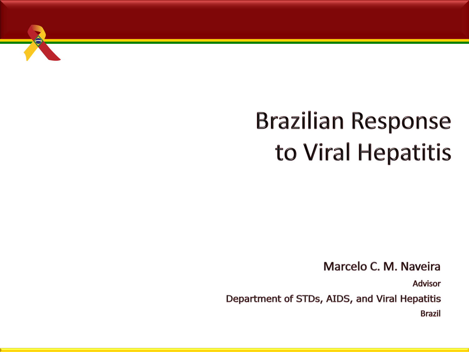

## **Brazilian Response** to Viral Hepatitis

Marcelo C. M. Naveira

**Advisor** 

Department of STDs, AIDS, and Viral Hepatitis **Brazil**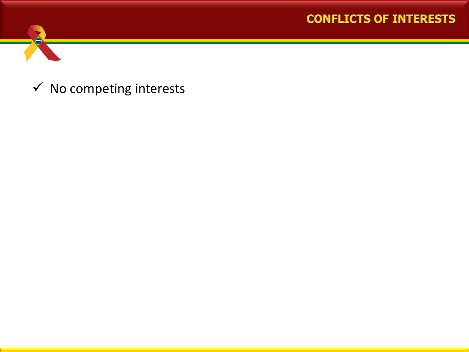#### **CONFLICTS OF INTERESTS**



 $\checkmark$  No competing interests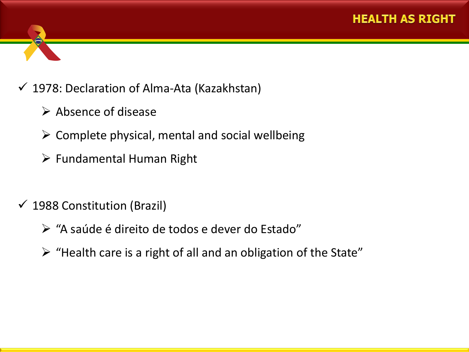

- $\triangleright$  Absence of disease
- $\triangleright$  Complete physical, mental and social wellbeing
- $\triangleright$  Fundamental Human Right
- $\checkmark$  1988 Constitution (Brazil)
	- "A saúde é direito de todos e dever do Estado"
	- $\triangleright$  "Health care is a right of all and an obligation of the State"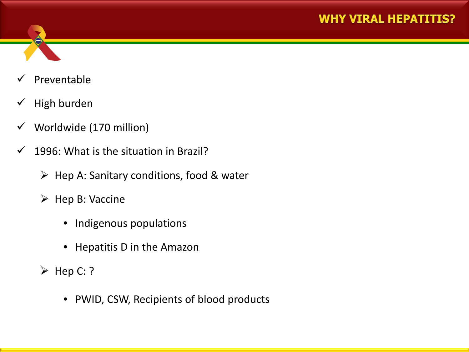

- Preventable
- $\checkmark$  High burden
- $\checkmark$  Worldwide (170 million)
- $\checkmark$  1996: What is the situation in Brazil?
	- $\triangleright$  Hep A: Sanitary conditions, food & water
	- $\triangleright$  Hep B: Vaccine
		- Indigenous populations
		- Hepatitis D in the Amazon
	- $\triangleright$  Hep C: ?
		- PWID, CSW, Recipients of blood products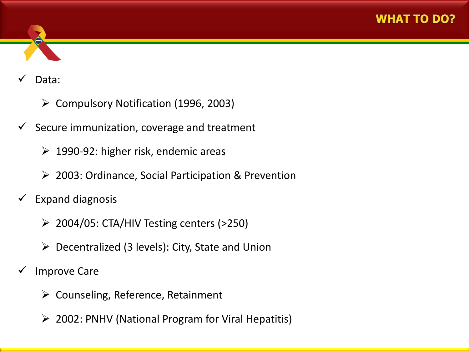

#### Data:

- $\triangleright$  Compulsory Notification (1996, 2003)
- Secure immunization, coverage and treatment
	- $\geq 1990-92$ : higher risk, endemic areas
	- 2003: Ordinance, Social Participation & Prevention
- $\checkmark$  Expand diagnosis
	- $\geq$  2004/05: CTA/HIV Testing centers (>250)
	- $\triangleright$  Decentralized (3 levels): City, State and Union
- Improve Care
	- $\triangleright$  Counseling, Reference, Retainment
	- $\geq$  2002: PNHV (National Program for Viral Hepatitis)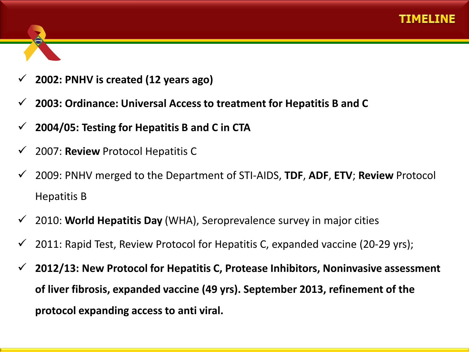

- **2002: PNHV is created (12 years ago)**
- **2003: Ordinance: Universal Access to treatment for Hepatitis B and C**
- **2004/05: Testing for Hepatitis B and C in CTA**
- 2007: **Review** Protocol Hepatitis C
- 2009: PNHV merged to the Department of STI-AIDS, **TDF**, **ADF**, **ETV**; **Review** Protocol Hepatitis B
- 2010: **World Hepatitis Day** (WHA), Seroprevalence survey in major cities
- 2011: Rapid Test, Review Protocol for Hepatitis C, expanded vaccine (20-29 yrs);
- **2012/13: New Protocol for Hepatitis C, Protease Inhibitors, Noninvasive assessment of liver fibrosis, expanded vaccine (49 yrs). September 2013, refinement of the protocol expanding access to anti viral.**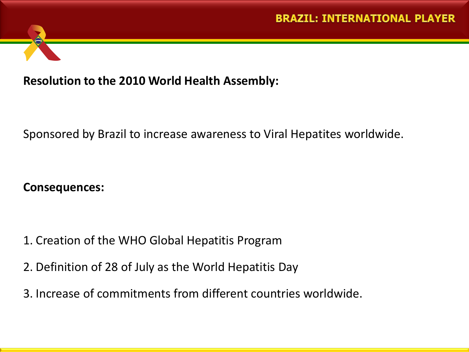

### **Resolution to the 2010 World Health Assembly:**

Sponsored by Brazil to increase awareness to Viral Hepatites worldwide.

#### **Consequences:**

- 1. Creation of the WHO Global Hepatitis Program
- 2. Definition of 28 of July as the World Hepatitis Day
- 3. Increase of commitments from different countries worldwide.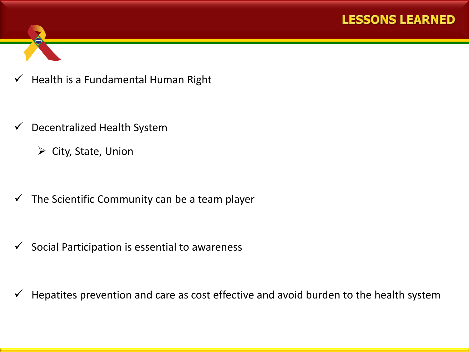



- $\checkmark$  Decentralized Health System
	- $\triangleright$  City, State, Union
- $\checkmark$  The Scientific Community can be a team player

 $\checkmark$  Social Participation is essential to awareness

 $\checkmark$  Hepatites prevention and care as cost effective and avoid burden to the health system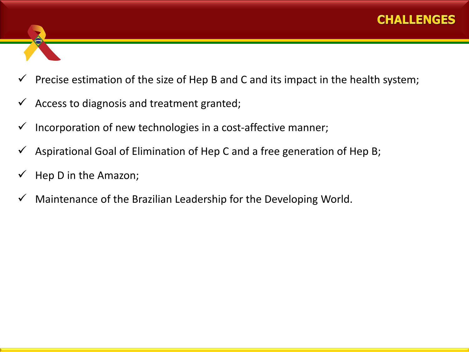- Precise estimation of the size of Hep B and C and its impact in the health system;
- Access to diagnosis and treatment granted;
- Incorporation of new technologies in a cost-affective manner;
- Aspirational Goal of Elimination of Hep C and a free generation of Hep B;
- Hep D in the Amazon;
- Maintenance of the Brazilian Leadership for the Developing World.